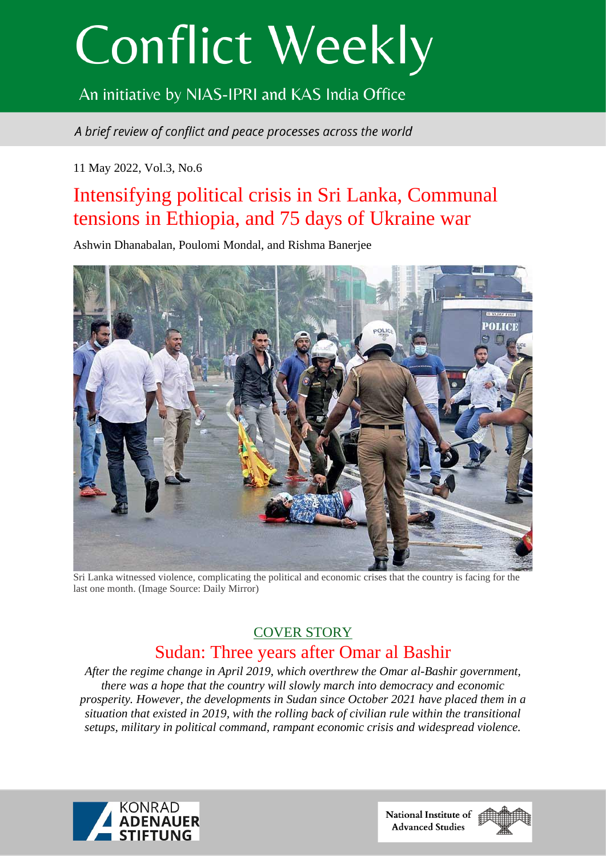# **Conflict Weekly**

# An initiative by NIAS-IPRI and KAS India Office

A brief review of conflict and peace processes across the world

# 11 May 2022, Vol.3, No.6

# Intensifying political crisis in Sri Lanka, Communal tensions in Ethiopia, and 75 days of Ukraine war

Ashwin Dhanabalan, Poulomi Mondal, and Rishma Banerjee



Sri Lanka witnessed violence, complicating the political and economic crises that the country is facing for the last one month. (Image Source: Daily Mirror)

# COVER STORY Sudan: Three years after Omar al Bashir

*After the regime change in April 2019, which overthrew the Omar al-Bashir government, there was a hope that the country will slowly march into democracy and economic prosperity. However, the developments in Sudan since October 2021 have placed them in a situation that existed in 2019, with the rolling back of civilian rule within the transitional setups, military in political command, rampant economic crisis and widespread violence.*



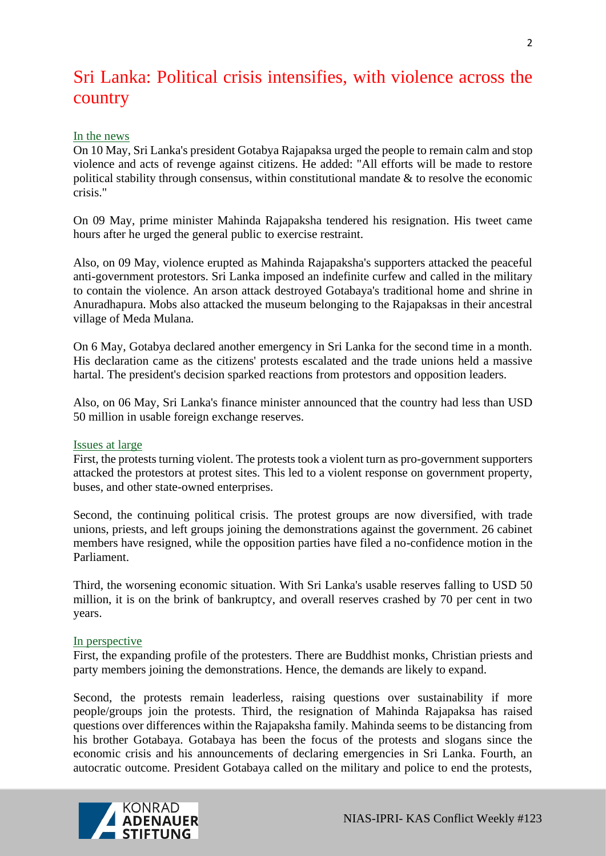# Sri Lanka: Political crisis intensifies, with violence across the country

## In the news

On 10 May, Sri Lanka's president Gotabya Rajapaksa urged the people to remain calm and stop violence and acts of revenge against citizens. He added: "All efforts will be made to restore political stability through consensus, within constitutional mandate  $\&$  to resolve the economic crisis."

On 09 May, prime minister Mahinda Rajapaksha tendered his resignation. His tweet came hours after he urged the general public to exercise restraint.

Also, on 09 May, violence erupted as Mahinda Rajapaksha's supporters attacked the peaceful anti-government protestors. Sri Lanka imposed an indefinite curfew and called in the military to contain the violence. An arson attack destroyed Gotabaya's traditional home and shrine in Anuradhapura. Mobs also attacked the museum belonging to the Rajapaksas in their ancestral village of Meda Mulana.

On 6 May, Gotabya declared another emergency in Sri Lanka for the second time in a month. His declaration came as the citizens' protests escalated and the trade unions held a massive hartal. The president's decision sparked reactions from protestors and opposition leaders.

Also, on 06 May, Sri Lanka's finance minister announced that the country had less than USD 50 million in usable foreign exchange reserves.

## Issues at large

First, the protests turning violent. The protests took a violent turn as pro-government supporters attacked the protestors at protest sites. This led to a violent response on government property, buses, and other state-owned enterprises.

Second, the continuing political crisis. The protest groups are now diversified, with trade unions, priests, and left groups joining the demonstrations against the government. 26 cabinet members have resigned, while the opposition parties have filed a no-confidence motion in the Parliament.

Third, the worsening economic situation. With Sri Lanka's usable reserves falling to USD 50 million, it is on the brink of bankruptcy, and overall reserves crashed by 70 per cent in two years.

## In perspective

First, the expanding profile of the protesters. There are Buddhist monks, Christian priests and party members joining the demonstrations. Hence, the demands are likely to expand.

Second, the protests remain leaderless, raising questions over sustainability if more people/groups join the protests. Third, the resignation of Mahinda Rajapaksa has raised questions over differences within the Rajapaksha family. Mahinda seems to be distancing from his brother Gotabaya. Gotabaya has been the focus of the protests and slogans since the economic crisis and his announcements of declaring emergencies in Sri Lanka. Fourth, an autocratic outcome. President Gotabaya called on the military and police to end the protests,

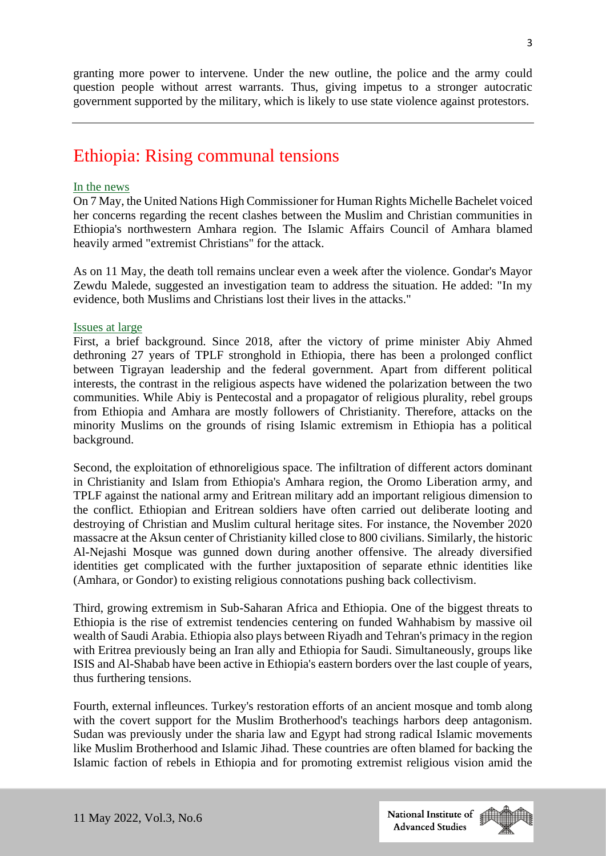granting more power to intervene. Under the new outline, the police and the army could question people without arrest warrants. Thus, giving impetus to a stronger autocratic government supported by the military, which is likely to use state violence against protestors.

# Ethiopia: Rising communal tensions

#### In the news

On 7 May, the United Nations High Commissioner for Human Rights Michelle Bachelet voiced her concerns regarding the recent clashes between the Muslim and Christian communities in Ethiopia's northwestern Amhara region. The Islamic Affairs Council of Amhara blamed heavily armed "extremist Christians" for the attack.

As on 11 May, the death toll remains unclear even a week after the violence. Gondar's Mayor Zewdu Malede, suggested an investigation team to address the situation. He added: "In my evidence, both Muslims and Christians lost their lives in the attacks."

#### Issues at large

First, a brief background. Since 2018, after the victory of prime minister Abiy Ahmed dethroning 27 years of TPLF stronghold in Ethiopia, there has been a prolonged conflict between Tigrayan leadership and the federal government. Apart from different political interests, the contrast in the religious aspects have widened the polarization between the two communities. While Abiy is Pentecostal and a propagator of religious plurality, rebel groups from Ethiopia and Amhara are mostly followers of Christianity. Therefore, attacks on the minority Muslims on the grounds of rising Islamic extremism in Ethiopia has a political background.

Second, the exploitation of ethnoreligious space. The infiltration of different actors dominant in Christianity and Islam from Ethiopia's Amhara region, the Oromo Liberation army, and TPLF against the national army and Eritrean military add an important religious dimension to the conflict. Ethiopian and Eritrean soldiers have often carried out deliberate looting and destroying of Christian and Muslim cultural heritage sites. For instance, the November 2020 massacre at the Aksun center of Christianity killed close to 800 civilians. Similarly, the historic Al-Nejashi Mosque was gunned down during another offensive. The already diversified identities get complicated with the further juxtaposition of separate ethnic identities like (Amhara, or Gondor) to existing religious connotations pushing back collectivism.

Third, growing extremism in Sub-Saharan Africa and Ethiopia. One of the biggest threats to Ethiopia is the rise of extremist tendencies centering on funded Wahhabism by massive oil wealth of Saudi Arabia. Ethiopia also plays between Riyadh and Tehran's primacy in the region with Eritrea previously being an Iran ally and Ethiopia for Saudi. Simultaneously, groups like ISIS and Al-Shabab have been active in Ethiopia's eastern borders over the last couple of years, thus furthering tensions.

Fourth, external infleunces. Turkey's restoration efforts of an ancient mosque and tomb along with the covert support for the Muslim Brotherhood's teachings harbors deep antagonism. Sudan was previously under the sharia law and Egypt had strong radical Islamic movements like Muslim Brotherhood and Islamic Jihad. These countries are often blamed for backing the Islamic faction of rebels in Ethiopia and for promoting extremist religious vision amid the

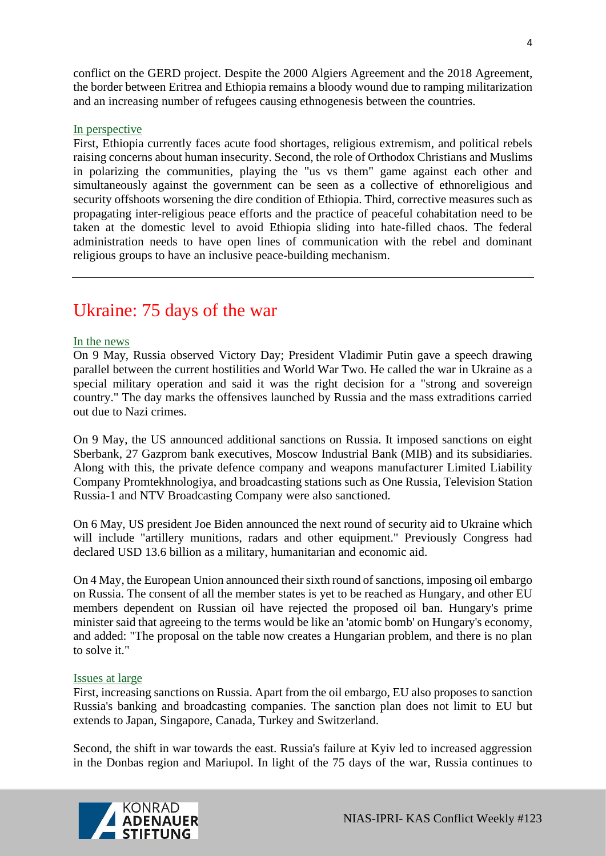conflict on the GERD project. Despite the 2000 Algiers Agreement and the 2018 Agreement, the border between Eritrea and Ethiopia remains a bloody wound due to ramping militarization and an increasing number of refugees causing ethnogenesis between the countries.

#### In perspective

First, Ethiopia currently faces acute food shortages, religious extremism, and political rebels raising concerns about human insecurity. Second, the role of Orthodox Christians and Muslims in polarizing the communities, playing the "us vs them" game against each other and simultaneously against the government can be seen as a collective of ethnoreligious and security offshoots worsening the dire condition of Ethiopia. Third, corrective measures such as propagating inter-religious peace efforts and the practice of peaceful cohabitation need to be taken at the domestic level to avoid Ethiopia sliding into hate-filled chaos. The federal administration needs to have open lines of communication with the rebel and dominant religious groups to have an inclusive peace-building mechanism.

# Ukraine: 75 days of the war

#### In the news

On 9 May, Russia observed Victory Day; President Vladimir Putin gave a speech drawing parallel between the current hostilities and World War Two. He called the war in Ukraine as a special military operation and said it was the right decision for a "strong and sovereign country." The day marks the offensives launched by Russia and the mass extraditions carried out due to Nazi crimes.

On 9 May, the US announced additional sanctions on Russia. It imposed sanctions on eight Sberbank, 27 Gazprom bank executives, Moscow Industrial Bank (MIB) and its subsidiaries. Along with this, the private defence company and weapons manufacturer Limited Liability Company Promtekhnologiya, and broadcasting stations such as One Russia, Television Station Russia-1 and NTV Broadcasting Company were also sanctioned.

On 6 May, US president Joe Biden announced the next round of security aid to Ukraine which will include "artillery munitions, radars and other equipment." Previously Congress had declared USD 13.6 billion as a military, humanitarian and economic aid.

On 4 May, the European Union announced their sixth round of sanctions, imposing oil embargo on Russia. The consent of all the member states is yet to be reached as Hungary, and other EU members dependent on Russian oil have rejected the proposed oil ban. Hungary's prime minister said that agreeing to the terms would be like an 'atomic bomb' on Hungary's economy, and added: "The proposal on the table now creates a Hungarian problem, and there is no plan to solve it."

#### Issues at large

First, increasing sanctions on Russia. Apart from the oil embargo, EU also proposes to sanction Russia's banking and broadcasting companies. The sanction plan does not limit to EU but extends to Japan, Singapore, Canada, Turkey and Switzerland.

Second, the shift in war towards the east. Russia's failure at Kyiv led to increased aggression in the Donbas region and Mariupol. In light of the 75 days of the war, Russia continues to

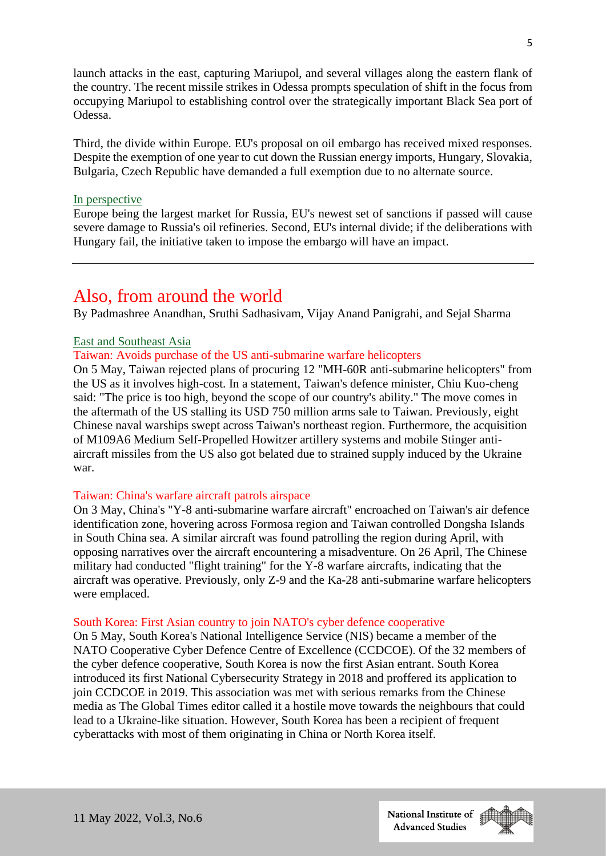launch attacks in the east, capturing Mariupol, and several villages along the eastern flank of the country. The recent missile strikes in Odessa prompts speculation of shift in the focus from occupying Mariupol to establishing control over the strategically important Black Sea port of Odessa.

Third, the divide within Europe. EU's proposal on oil embargo has received mixed responses. Despite the exemption of one year to cut down the Russian energy imports, Hungary, Slovakia, Bulgaria, Czech Republic have demanded a full exemption due to no alternate source.

#### In perspective

Europe being the largest market for Russia, EU's newest set of sanctions if passed will cause severe damage to Russia's oil refineries. Second, EU's internal divide; if the deliberations with Hungary fail, the initiative taken to impose the embargo will have an impact.

# Also, from around the world

By Padmashree Anandhan, Sruthi Sadhasivam, Vijay Anand Panigrahi, and Sejal Sharma

#### East and Southeast Asia

## Taiwan: Avoids purchase of the US anti-submarine warfare helicopters

On 5 May, Taiwan rejected plans of procuring 12 "MH-60R anti-submarine helicopters" from the US as it involves high-cost. In a statement, Taiwan's defence minister, Chiu Kuo-cheng said: "The price is too high, beyond the scope of our country's ability." The move comes in the aftermath of the US stalling its USD 750 million arms sale to Taiwan. Previously, eight Chinese naval warships swept across Taiwan's northeast region. Furthermore, the acquisition of M109A6 Medium Self-Propelled Howitzer artillery systems and mobile Stinger antiaircraft missiles from the US also got belated due to strained supply induced by the Ukraine war.

#### Taiwan: China's warfare aircraft patrols airspace

On 3 May, China's "Y-8 anti-submarine warfare aircraft" encroached on Taiwan's air defence identification zone, hovering across Formosa region and Taiwan controlled Dongsha Islands in South China sea. A similar aircraft was found patrolling the region during April, with opposing narratives over the aircraft encountering a misadventure. On 26 April, The Chinese military had conducted "flight training" for the Y-8 warfare aircrafts, indicating that the aircraft was operative. Previously, only Z-9 and the Ka-28 anti-submarine warfare helicopters were emplaced.

#### South Korea: First Asian country to join NATO's cyber defence cooperative

On 5 May, South Korea's National Intelligence Service (NIS) became a member of the NATO Cooperative Cyber Defence Centre of Excellence (CCDCOE). Of the 32 members of the cyber defence cooperative, South Korea is now the first Asian entrant. South Korea introduced its first National Cybersecurity Strategy in 2018 and proffered its application to join CCDCOE in 2019. This association was met with serious remarks from the Chinese media as The Global Times editor called it a hostile move towards the neighbours that could lead to a Ukraine-like situation. However, South Korea has been a recipient of frequent cyberattacks with most of them originating in China or North Korea itself.

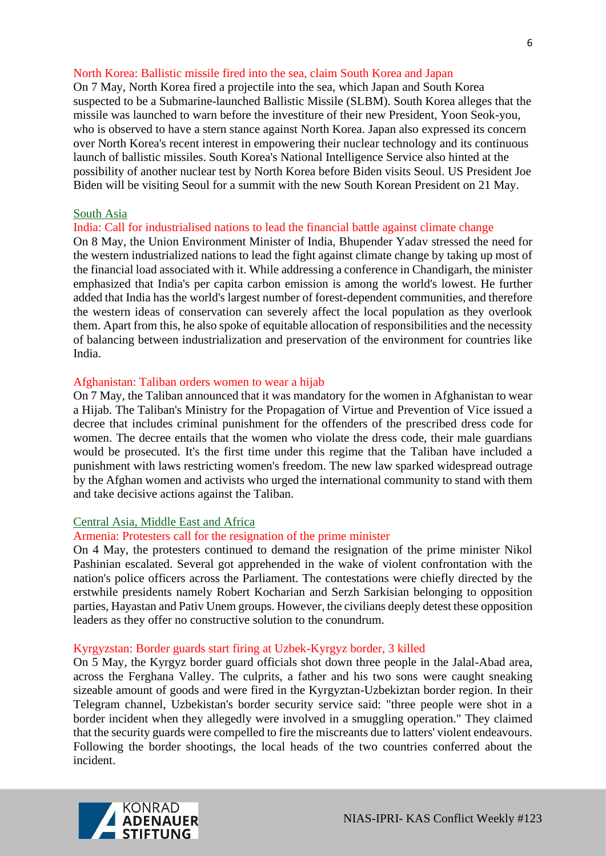#### North Korea: Ballistic missile fired into the sea, claim South Korea and Japan

On 7 May, North Korea fired a projectile into the sea, which Japan and South Korea suspected to be a Submarine-launched Ballistic Missile (SLBM). South Korea alleges that the missile was launched to warn before the investiture of their new President, Yoon Seok-you, who is observed to have a stern stance against North Korea. Japan also expressed its concern over North Korea's recent interest in empowering their nuclear technology and its continuous launch of ballistic missiles. South Korea's National Intelligence Service also hinted at the possibility of another nuclear test by North Korea before Biden visits Seoul. US President Joe Biden will be visiting Seoul for a summit with the new South Korean President on 21 May.

#### South Asia

## India: Call for industrialised nations to lead the financial battle against climate change

On 8 May, the Union Environment Minister of India, Bhupender Yadav stressed the need for the western industrialized nations to lead the fight against climate change by taking up most of the financial load associated with it. While addressing a conference in Chandigarh, the minister emphasized that India's per capita carbon emission is among the world's lowest. He further added that India has the world's largest number of forest-dependent communities, and therefore the western ideas of conservation can severely affect the local population as they overlook them. Apart from this, he also spoke of equitable allocation of responsibilities and the necessity of balancing between industrialization and preservation of the environment for countries like India.

#### Afghanistan: Taliban orders women to wear a hijab

On 7 May, the Taliban announced that it was mandatory for the women in Afghanistan to wear a Hijab. The Taliban's Ministry for the Propagation of Virtue and Prevention of Vice issued a decree that includes criminal punishment for the offenders of the prescribed dress code for women. The decree entails that the women who violate the dress code, their male guardians would be prosecuted. It's the first time under this regime that the Taliban have included a punishment with laws restricting women's freedom. The new law sparked widespread outrage by the Afghan women and activists who urged the international community to stand with them and take decisive actions against the Taliban.

## Central Asia, Middle East and Africa

#### Armenia: Protesters call for the resignation of the prime minister

On 4 May, the protesters continued to demand the resignation of the prime minister Nikol Pashinian escalated. Several got apprehended in the wake of violent confrontation with the nation's police officers across the Parliament. The contestations were chiefly directed by the erstwhile presidents namely Robert Kocharian and Serzh Sarkisian belonging to opposition parties, Hayastan and Pativ Unem groups. However, the civilians deeply detest these opposition leaders as they offer no constructive solution to the conundrum.

#### Kyrgyzstan: Border guards start firing at Uzbek-Kyrgyz border, 3 killed

On 5 May, the Kyrgyz border guard officials shot down three people in the Jalal-Abad area, across the Ferghana Valley. The culprits, a father and his two sons were caught sneaking sizeable amount of goods and were fired in the Kyrgyztan-Uzbekiztan border region. In their Telegram channel, Uzbekistan's border security service said: "three people were shot in a border incident when they allegedly were involved in a smuggling operation." They claimed that the security guards were compelled to fire the miscreants due to latters' violent endeavours. Following the border shootings, the local heads of the two countries conferred about the incident.

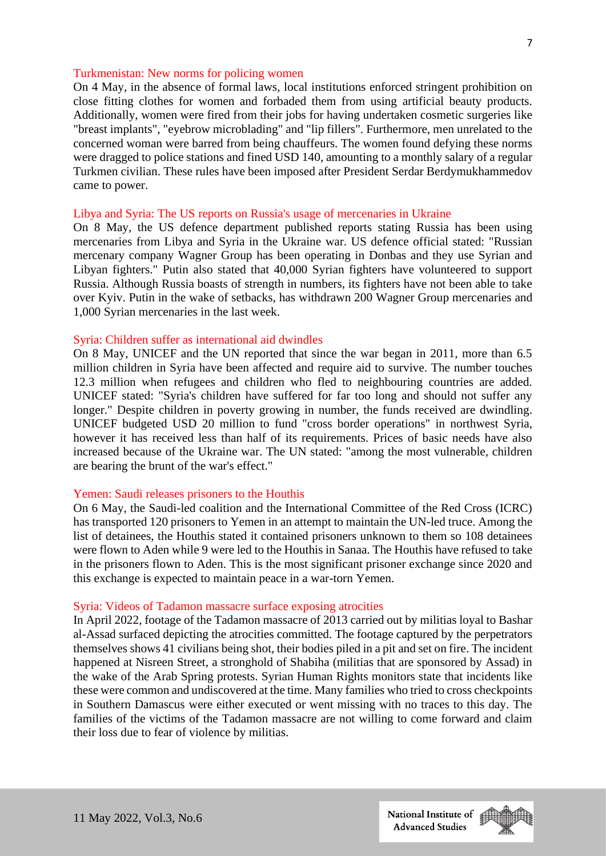#### Turkmenistan: New norms for policing women

On 4 May, in the absence of formal laws, local institutions enforced stringent prohibition on close fitting clothes for women and forbaded them from using artificial beauty products. Additionally, women were fired from their jobs for having undertaken cosmetic surgeries like "breast implants", "eyebrow microblading" and "lip fillers". Furthermore, men unrelated to the concerned woman were barred from being chauffeurs. The women found defying these norms were dragged to police stations and fined USD 140, amounting to a monthly salary of a regular Turkmen civilian. These rules have been imposed after President Serdar Berdymukhammedov came to power.

#### Libya and Syria: The US reports on Russia's usage of mercenaries in Ukraine

On 8 May, the US defence department published reports stating Russia has been using mercenaries from Libya and Syria in the Ukraine war. US defence official stated: "Russian mercenary company Wagner Group has been operating in Donbas and they use Syrian and Libyan fighters." Putin also stated that 40,000 Syrian fighters have volunteered to support Russia. Although Russia boasts of strength in numbers, its fighters have not been able to take over Kyiv. Putin in the wake of setbacks, has withdrawn 200 Wagner Group mercenaries and 1,000 Syrian mercenaries in the last week.

#### Syria: Children suffer as international aid dwindles

On 8 May, UNICEF and the UN reported that since the war began in 2011, more than 6.5 million children in Syria have been affected and require aid to survive. The number touches 12.3 million when refugees and children who fled to neighbouring countries are added. UNICEF stated: "Syria's children have suffered for far too long and should not suffer any longer." Despite children in poverty growing in number, the funds received are dwindling. UNICEF budgeted USD 20 million to fund "cross border operations" in northwest Syria, however it has received less than half of its requirements. Prices of basic needs have also increased because of the Ukraine war. The UN stated: "among the most vulnerable, children are bearing the brunt of the war's effect."

#### Yemen: Saudi releases prisoners to the Houthis

On 6 May, the Saudi-led coalition and the International Committee of the Red Cross (ICRC) has transported 120 prisoners to Yemen in an attempt to maintain the UN-led truce. Among the list of detainees, the Houthis stated it contained prisoners unknown to them so 108 detainees were flown to Aden while 9 were led to the Houthis in Sanaa. The Houthis have refused to take in the prisoners flown to Aden. This is the most significant prisoner exchange since 2020 and this exchange is expected to maintain peace in a war-torn Yemen.

#### Syria: Videos of Tadamon massacre surface exposing atrocities

In April 2022, footage of the Tadamon massacre of 2013 carried out by militias loyal to Bashar al-Assad surfaced depicting the atrocities committed. The footage captured by the perpetrators themselves shows 41 civilians being shot, their bodies piled in a pit and set on fire. The incident happened at Nisreen Street, a stronghold of Shabiha (militias that are sponsored by Assad) in the wake of the Arab Spring protests. Syrian Human Rights monitors state that incidents like these were common and undiscovered at the time. Many families who tried to cross checkpoints in Southern Damascus were either executed or went missing with no traces to this day. The families of the victims of the Tadamon massacre are not willing to come forward and claim their loss due to fear of violence by militias.

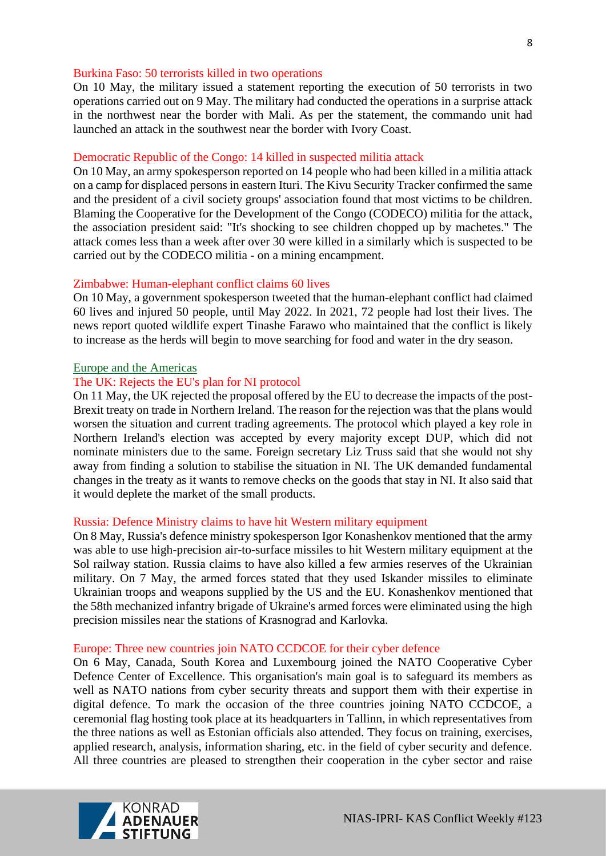#### Burkina Faso: 50 terrorists killed in two operations

On 10 May, the military issued a statement reporting the execution of 50 terrorists in two operations carried out on 9 May. The military had conducted the operations in a surprise attack in the northwest near the border with Mali. As per the statement, the commando unit had launched an attack in the southwest near the border with Ivory Coast.

#### Democratic Republic of the Congo: 14 killed in suspected militia attack

On 10 May, an army spokesperson reported on 14 people who had been killed in a militia attack on a camp for displaced persons in eastern Ituri. The Kivu Security Tracker confirmed the same and the president of a civil society groups' association found that most victims to be children. Blaming the Cooperative for the Development of the Congo (CODECO) militia for the attack, the association president said: "It's shocking to see children chopped up by machetes." The attack comes less than a week after over 30 were killed in a similarly which is suspected to be carried out by the CODECO militia - on a mining encampment.

#### Zimbabwe: Human-elephant conflict claims 60 lives

On 10 May, a government spokesperson tweeted that the human-elephant conflict had claimed 60 lives and injured 50 people, until May 2022. In 2021, 72 people had lost their lives. The news report quoted wildlife expert Tinashe Farawo who maintained that the conflict is likely to increase as the herds will begin to move searching for food and water in the dry season.

#### Europe and the Americas

#### The UK: Rejects the EU's plan for NI protocol

On 11 May, the UK rejected the proposal offered by the EU to decrease the impacts of the post-Brexit treaty on trade in Northern Ireland. The reason for the rejection was that the plans would worsen the situation and current trading agreements. The protocol which played a key role in Northern Ireland's election was accepted by every majority except DUP, which did not nominate ministers due to the same. Foreign secretary Liz Truss said that she would not shy away from finding a solution to stabilise the situation in NI. The UK demanded fundamental changes in the treaty as it wants to remove checks on the goods that stay in NI. It also said that it would deplete the market of the small products.

#### Russia: Defence Ministry claims to have hit Western military equipment

On 8 May, Russia's defence ministry spokesperson Igor Konashenkov mentioned that the army was able to use high-precision air-to-surface missiles to hit Western military equipment at the Sol railway station. Russia claims to have also killed a few armies reserves of the Ukrainian military. On 7 May, the armed forces stated that they used Iskander missiles to eliminate Ukrainian troops and weapons supplied by the US and the EU. Konashenkov mentioned that the 58th mechanized infantry brigade of Ukraine's armed forces were eliminated using the high precision missiles near the stations of Krasnograd and Karlovka.

#### Europe: Three new countries join NATO CCDCOE for their cyber defence

On 6 May, Canada, South Korea and Luxembourg joined the NATO Cooperative Cyber Defence Center of Excellence. This organisation's main goal is to safeguard its members as well as NATO nations from cyber security threats and support them with their expertise in digital defence. To mark the occasion of the three countries joining NATO CCDCOE, a ceremonial flag hosting took place at its headquarters in Tallinn, in which representatives from the three nations as well as Estonian officials also attended. They focus on training, exercises, applied research, analysis, information sharing, etc. in the field of cyber security and defence. All three countries are pleased to strengthen their cooperation in the cyber sector and raise

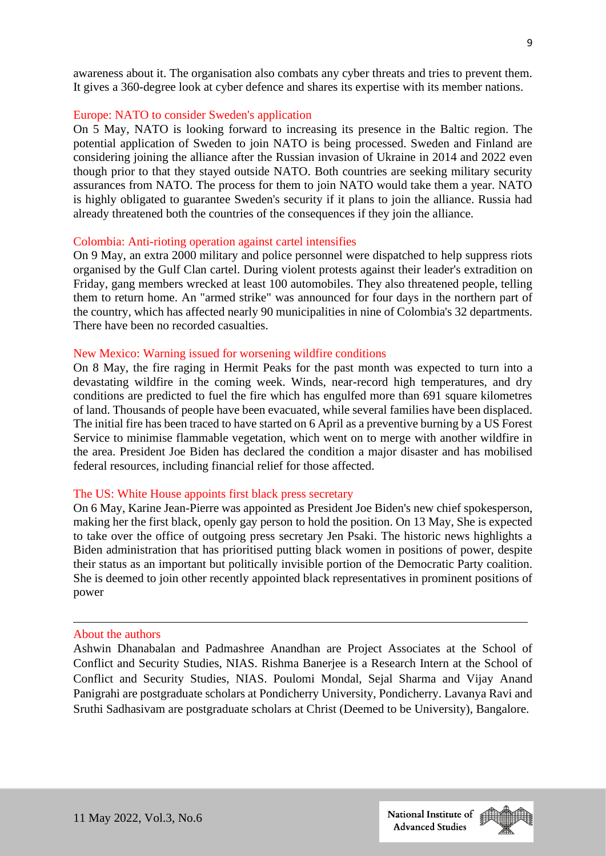awareness about it. The organisation also combats any cyber threats and tries to prevent them. It gives a 360-degree look at cyber defence and shares its expertise with its member nations.

#### Europe: NATO to consider Sweden's application

On 5 May, NATO is looking forward to increasing its presence in the Baltic region. The potential application of Sweden to join NATO is being processed. Sweden and Finland are considering joining the alliance after the Russian invasion of Ukraine in 2014 and 2022 even though prior to that they stayed outside NATO. Both countries are seeking military security assurances from NATO. The process for them to join NATO would take them a year. NATO is highly obligated to guarantee Sweden's security if it plans to join the alliance. Russia had already threatened both the countries of the consequences if they join the alliance.

#### Colombia: Anti-rioting operation against cartel intensifies

On 9 May, an extra 2000 military and police personnel were dispatched to help suppress riots organised by the Gulf Clan cartel. During violent protests against their leader's extradition on Friday, gang members wrecked at least 100 automobiles. They also threatened people, telling them to return home. An "armed strike" was announced for four days in the northern part of the country, which has affected nearly 90 municipalities in nine of Colombia's 32 departments. There have been no recorded casualties.

#### New Mexico: Warning issued for worsening wildfire conditions

On 8 May, the fire raging in Hermit Peaks for the past month was expected to turn into a devastating wildfire in the coming week. Winds, near-record high temperatures, and dry conditions are predicted to fuel the fire which has engulfed more than 691 square kilometres of land. Thousands of people have been evacuated, while several families have been displaced. The initial fire has been traced to have started on 6 April as a preventive burning by a US Forest Service to minimise flammable vegetation, which went on to merge with another wildfire in the area. President Joe Biden has declared the condition a major disaster and has mobilised federal resources, including financial relief for those affected.

#### The US: White House appoints first black press secretary

On 6 May, Karine Jean-Pierre was appointed as President Joe Biden's new chief spokesperson, making her the first black, openly gay person to hold the position. On 13 May, She is expected to take over the office of outgoing press secretary Jen Psaki. The historic news highlights a Biden administration that has prioritised putting black women in positions of power, despite their status as an important but politically invisible portion of the Democratic Party coalition. She is deemed to join other recently appointed black representatives in prominent positions of power

#### About the authors

Ashwin Dhanabalan and Padmashree Anandhan are Project Associates at the School of Conflict and Security Studies, NIAS. Rishma Banerjee is a Research Intern at the School of Conflict and Security Studies, NIAS. Poulomi Mondal, Sejal Sharma and Vijay Anand Panigrahi are postgraduate scholars at Pondicherry University, Pondicherry. Lavanya Ravi and Sruthi Sadhasivam are postgraduate scholars at Christ (Deemed to be University), Bangalore.

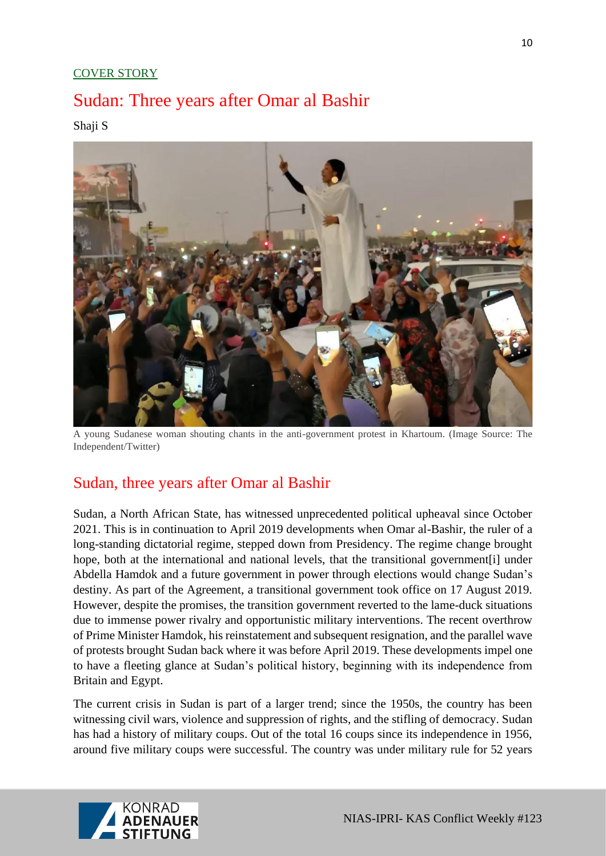# COVER STORY

# Sudan: Three years after Omar al Bashir

Shaji S



A young Sudanese woman shouting chants in the anti-government protest in Khartoum. (Image Source: The Independent/Twitter)

# Sudan, three years after Omar al Bashir

Sudan, a North African State, has witnessed unprecedented political upheaval since October 2021. This is in continuation to April 2019 developments when Omar al-Bashir, the ruler of a long-standing dictatorial regime, stepped down from Presidency. The regime change brought hope, both at the international and national levels, that the transitional government[i] under Abdella Hamdok and a future government in power through elections would change Sudan's destiny. As part of the Agreement, a transitional government took office on 17 August 2019. However, despite the promises, the transition government reverted to the lame-duck situations due to immense power rivalry and opportunistic military interventions. The recent overthrow of Prime Minister Hamdok, his reinstatement and subsequent resignation, and the parallel wave of protests brought Sudan back where it was before April 2019. These developments impel one to have a fleeting glance at Sudan's political history, beginning with its independence from Britain and Egypt.

The current crisis in Sudan is part of a larger trend; since the 1950s, the country has been witnessing civil wars, violence and suppression of rights, and the stifling of democracy. Sudan has had a history of military coups. Out of the total 16 coups since its independence in 1956, around five military coups were successful. The country was under military rule for 52 years

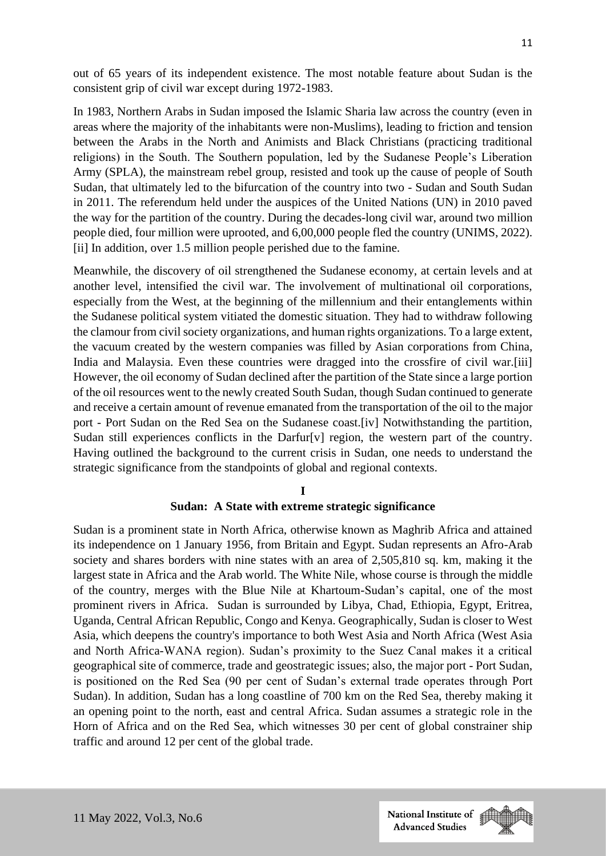out of 65 years of its independent existence. The most notable feature about Sudan is the consistent grip of civil war except during 1972-1983.

In 1983, Northern Arabs in Sudan imposed the Islamic Sharia law across the country (even in areas where the majority of the inhabitants were non-Muslims), leading to friction and tension between the Arabs in the North and Animists and Black Christians (practicing traditional religions) in the South. The Southern population, led by the Sudanese People's Liberation Army (SPLA), the mainstream rebel group, resisted and took up the cause of people of South Sudan, that ultimately led to the bifurcation of the country into two - Sudan and South Sudan in 2011. The referendum held under the auspices of the United Nations (UN) in 2010 paved the way for the partition of the country. During the decades-long civil war, around two million people died, four million were uprooted, and 6,00,000 people fled the country (UNIMS, 2022). [ii] In addition, over 1.5 million people perished due to the famine.

Meanwhile, the discovery of oil strengthened the Sudanese economy, at certain levels and at another level, intensified the civil war. The involvement of multinational oil corporations, especially from the West, at the beginning of the millennium and their entanglements within the Sudanese political system vitiated the domestic situation. They had to withdraw following the clamour from civil society organizations, and human rights organizations. To a large extent, the vacuum created by the western companies was filled by Asian corporations from China, India and Malaysia. Even these countries were dragged into the crossfire of civil war.[iii] However, the oil economy of Sudan declined after the partition of the State since a large portion of the oil resources went to the newly created South Sudan, though Sudan continued to generate and receive a certain amount of revenue emanated from the transportation of the oil to the major port - Port Sudan on the Red Sea on the Sudanese coast.[iv] Notwithstanding the partition, Sudan still experiences conflicts in the Darfur[v] region, the western part of the country. Having outlined the background to the current crisis in Sudan, one needs to understand the strategic significance from the standpoints of global and regional contexts.

#### **I**

#### **Sudan: A State with extreme strategic significance**

Sudan is a prominent state in North Africa, otherwise known as Maghrib Africa and attained its independence on 1 January 1956, from Britain and Egypt. Sudan represents an Afro-Arab society and shares borders with nine states with an area of 2,505,810 sq. km, making it the largest state in Africa and the Arab world. The White Nile, whose course is through the middle of the country, merges with the Blue Nile at Khartoum-Sudan's capital, one of the most prominent rivers in Africa. Sudan is surrounded by Libya, Chad, Ethiopia, Egypt, Eritrea, Uganda, Central African Republic, Congo and Kenya. Geographically, Sudan is closer to West Asia, which deepens the country's importance to both West Asia and North Africa (West Asia and North Africa-WANA region). Sudan's proximity to the Suez Canal makes it a critical geographical site of commerce, trade and geostrategic issues; also, the major port - Port Sudan, is positioned on the Red Sea (90 per cent of Sudan's external trade operates through Port Sudan). In addition, Sudan has a long coastline of 700 km on the Red Sea, thereby making it an opening point to the north, east and central Africa. Sudan assumes a strategic role in the Horn of Africa and on the Red Sea, which witnesses 30 per cent of global constrainer ship traffic and around 12 per cent of the global trade.

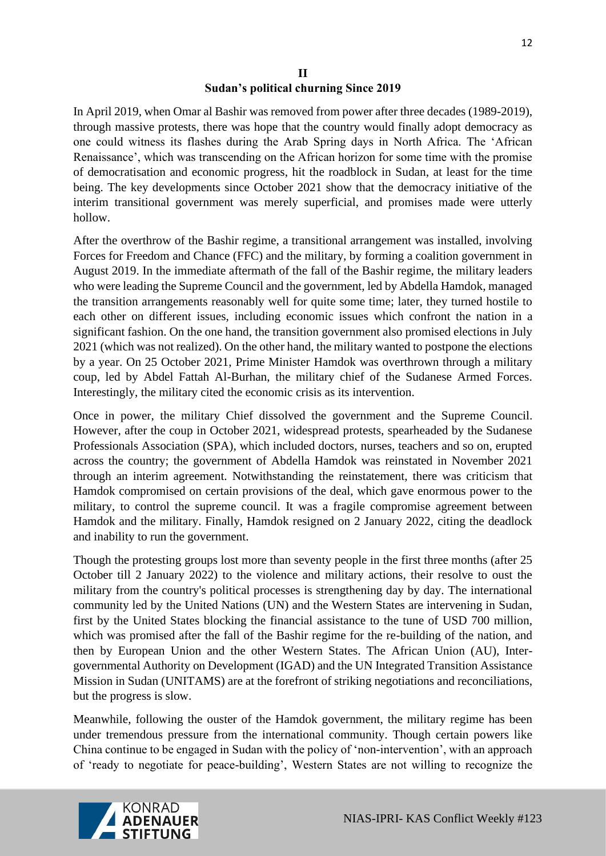## **II Sudan's political churning Since 2019**

In April 2019, when Omar al Bashir was removed from power after three decades (1989-2019), through massive protests, there was hope that the country would finally adopt democracy as one could witness its flashes during the Arab Spring days in North Africa. The 'African Renaissance', which was transcending on the African horizon for some time with the promise of democratisation and economic progress, hit the roadblock in Sudan, at least for the time being. The key developments since October 2021 show that the democracy initiative of the interim transitional government was merely superficial, and promises made were utterly hollow.

After the overthrow of the Bashir regime, a transitional arrangement was installed, involving Forces for Freedom and Chance (FFC) and the military, by forming a coalition government in August 2019. In the immediate aftermath of the fall of the Bashir regime, the military leaders who were leading the Supreme Council and the government, led by Abdella Hamdok, managed the transition arrangements reasonably well for quite some time; later, they turned hostile to each other on different issues, including economic issues which confront the nation in a significant fashion. On the one hand, the transition government also promised elections in July 2021 (which was not realized). On the other hand, the military wanted to postpone the elections by a year. On 25 October 2021, Prime Minister Hamdok was overthrown through a military coup, led by Abdel Fattah Al-Burhan, the military chief of the Sudanese Armed Forces. Interestingly, the military cited the economic crisis as its intervention.

Once in power, the military Chief dissolved the government and the Supreme Council. However, after the coup in October 2021, widespread protests, spearheaded by the Sudanese Professionals Association (SPA), which included doctors, nurses, teachers and so on, erupted across the country; the government of Abdella Hamdok was reinstated in November 2021 through an interim agreement. Notwithstanding the reinstatement, there was criticism that Hamdok compromised on certain provisions of the deal, which gave enormous power to the military, to control the supreme council. It was a fragile compromise agreement between Hamdok and the military. Finally, Hamdok resigned on 2 January 2022, citing the deadlock and inability to run the government.

Though the protesting groups lost more than seventy people in the first three months (after 25 October till 2 January 2022) to the violence and military actions, their resolve to oust the military from the country's political processes is strengthening day by day. The international community led by the United Nations (UN) and the Western States are intervening in Sudan, first by the United States blocking the financial assistance to the tune of USD 700 million, which was promised after the fall of the Bashir regime for the re-building of the nation, and then by European Union and the other Western States. The African Union (AU), Intergovernmental Authority on Development (IGAD) and the UN Integrated Transition Assistance Mission in Sudan (UNITAMS) are at the forefront of striking negotiations and reconciliations, but the progress is slow.

Meanwhile, following the ouster of the Hamdok government, the military regime has been under tremendous pressure from the international community. Though certain powers like China continue to be engaged in Sudan with the policy of 'non-intervention', with an approach of 'ready to negotiate for peace-building', Western States are not willing to recognize the

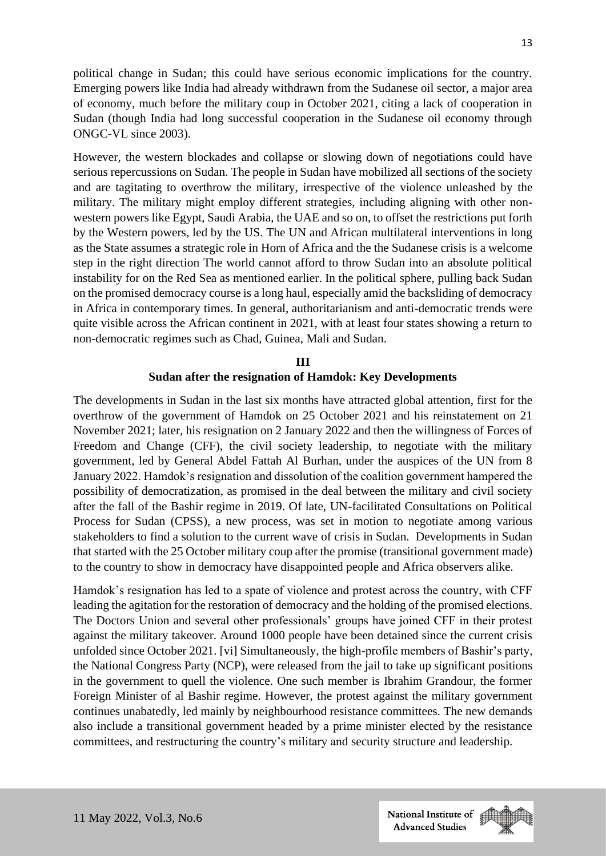political change in Sudan; this could have serious economic implications for the country. Emerging powers like India had already withdrawn from the Sudanese oil sector, a major area of economy, much before the military coup in October 2021, citing a lack of cooperation in Sudan (though India had long successful cooperation in the Sudanese oil economy through ONGC-VL since 2003).

However, the western blockades and collapse or slowing down of negotiations could have serious repercussions on Sudan. The people in Sudan have mobilized all sections of the society and are tagitating to overthrow the military, irrespective of the violence unleashed by the military. The military might employ different strategies, including aligning with other nonwestern powers like Egypt, Saudi Arabia, the UAE and so on, to offset the restrictions put forth by the Western powers, led by the US. The UN and African multilateral interventions in long as the State assumes a strategic role in Horn of Africa and the the Sudanese crisis is a welcome step in the right direction The world cannot afford to throw Sudan into an absolute political instability for on the Red Sea as mentioned earlier. In the political sphere, pulling back Sudan on the promised democracy course is a long haul, especially amid the backsliding of democracy in Africa in contemporary times. In general, authoritarianism and anti-democratic trends were quite visible across the African continent in 2021, with at least four states showing a return to non-democratic regimes such as Chad, Guinea, Mali and Sudan.

# **III Sudan after the resignation of Hamdok: Key Developments**

The developments in Sudan in the last six months have attracted global attention, first for the overthrow of the government of Hamdok on 25 October 2021 and his reinstatement on 21 November 2021; later, his resignation on 2 January 2022 and then the willingness of Forces of Freedom and Change (CFF), the civil society leadership, to negotiate with the military government, led by General Abdel Fattah Al Burhan, under the auspices of the UN from 8 January 2022. Hamdok's resignation and dissolution of the coalition government hampered the possibility of democratization, as promised in the deal between the military and civil society after the fall of the Bashir regime in 2019. Of late, UN-facilitated Consultations on Political Process for Sudan (CPSS), a new process, was set in motion to negotiate among various stakeholders to find a solution to the current wave of crisis in Sudan. Developments in Sudan that started with the 25 October military coup after the promise (transitional government made) to the country to show in democracy have disappointed people and Africa observers alike.

Hamdok's resignation has led to a spate of violence and protest across the country, with CFF leading the agitation for the restoration of democracy and the holding of the promised elections. The Doctors Union and several other professionals' groups have joined CFF in their protest against the military takeover. Around 1000 people have been detained since the current crisis unfolded since October 2021. [vi] Simultaneously, the high-profile members of Bashir's party, the National Congress Party (NCP), were released from the jail to take up significant positions in the government to quell the violence. One such member is Ibrahim Grandour, the former Foreign Minister of al Bashir regime. However, the protest against the military government continues unabatedly, led mainly by neighbourhood resistance committees. The new demands also include a transitional government headed by a prime minister elected by the resistance committees, and restructuring the country's military and security structure and leadership.

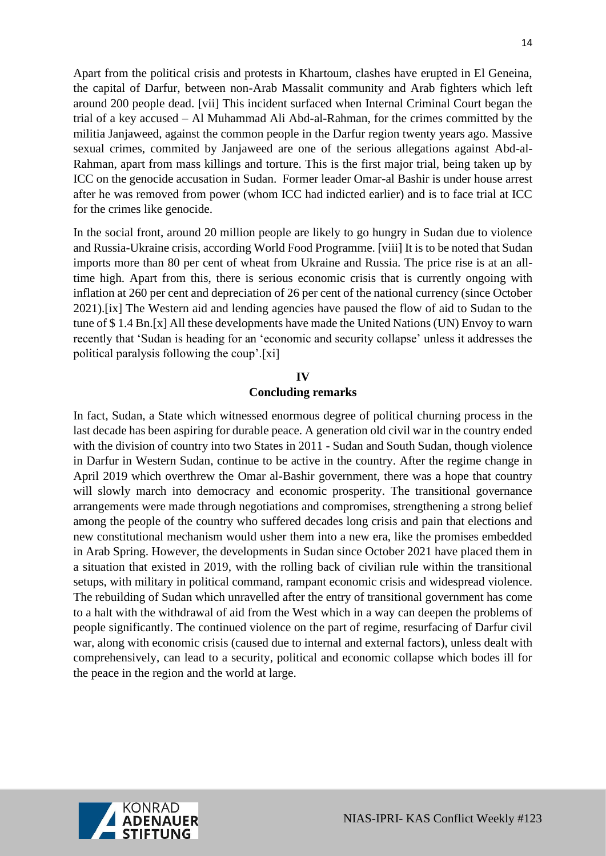Apart from the political crisis and protests in Khartoum, clashes have erupted in El Geneina, the capital of Darfur, between non-Arab Massalit community and Arab fighters which left around 200 people dead. [vii] This incident surfaced when Internal Criminal Court began the trial of a key accused – Al Muhammad Ali Abd-al-Rahman, for the crimes committed by the militia Janjaweed, against the common people in the Darfur region twenty years ago. Massive sexual crimes, commited by Janjaweed are one of the serious allegations against Abd-al-Rahman, apart from mass killings and torture. This is the first major trial, being taken up by ICC on the genocide accusation in Sudan. Former leader Omar-al Bashir is under house arrest after he was removed from power (whom ICC had indicted earlier) and is to face trial at ICC for the crimes like genocide.

In the social front, around 20 million people are likely to go hungry in Sudan due to violence and Russia-Ukraine crisis, according World Food Programme. [viii] It is to be noted that Sudan imports more than 80 per cent of wheat from Ukraine and Russia. The price rise is at an alltime high. Apart from this, there is serious economic crisis that is currently ongoing with inflation at 260 per cent and depreciation of 26 per cent of the national currency (since October 2021).[ix] The Western aid and lending agencies have paused the flow of aid to Sudan to the tune of \$ 1.4 Bn.[x] All these developments have made the United Nations (UN) Envoy to warn recently that 'Sudan is heading for an 'economic and security collapse' unless it addresses the political paralysis following the coup'.[xi]

# **IV Concluding remarks**

In fact, Sudan, a State which witnessed enormous degree of political churning process in the last decade has been aspiring for durable peace. A generation old civil war in the country ended with the division of country into two States in 2011 - Sudan and South Sudan, though violence in Darfur in Western Sudan, continue to be active in the country. After the regime change in April 2019 which overthrew the Omar al-Bashir government, there was a hope that country will slowly march into democracy and economic prosperity. The transitional governance arrangements were made through negotiations and compromises, strengthening a strong belief among the people of the country who suffered decades long crisis and pain that elections and new constitutional mechanism would usher them into a new era, like the promises embedded in Arab Spring. However, the developments in Sudan since October 2021 have placed them in a situation that existed in 2019, with the rolling back of civilian rule within the transitional setups, with military in political command, rampant economic crisis and widespread violence. The rebuilding of Sudan which unravelled after the entry of transitional government has come to a halt with the withdrawal of aid from the West which in a way can deepen the problems of people significantly. The continued violence on the part of regime, resurfacing of Darfur civil war, along with economic crisis (caused due to internal and external factors), unless dealt with comprehensively, can lead to a security, political and economic collapse which bodes ill for the peace in the region and the world at large.

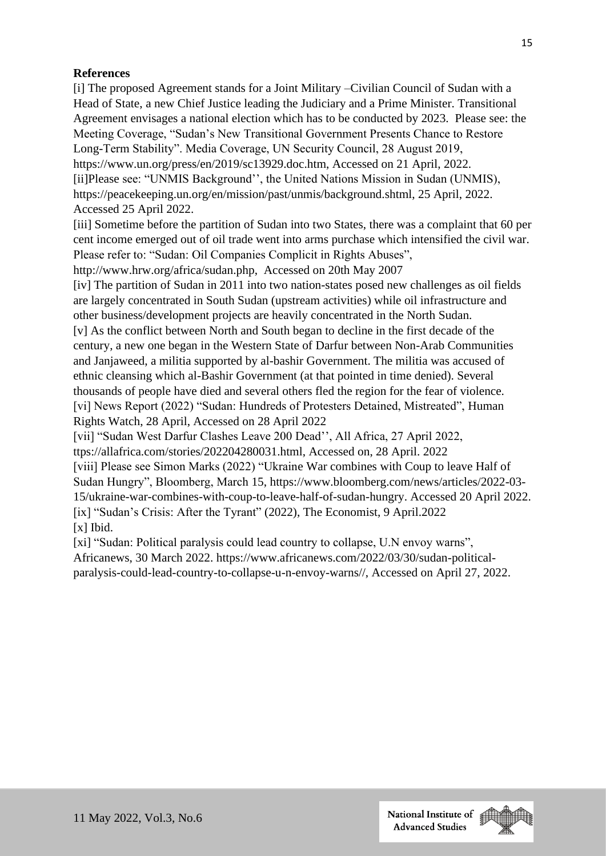## **References**

[i] The proposed Agreement stands for a Joint Military –Civilian Council of Sudan with a Head of State, a new Chief Justice leading the Judiciary and a Prime Minister. Transitional Agreement envisages a national election which has to be conducted by 2023. Please see: the Meeting Coverage, "Sudan's New Transitional Government Presents Chance to Restore Long-Term Stability". Media Coverage, UN Security Council, 28 August 2019, https://www.un.org/press/en/2019/sc13929.doc.htm, Accessed on 21 April, 2022. [ii]Please see: "UNMIS Background'', the United Nations Mission in Sudan (UNMIS), https://peacekeeping.un.org/en/mission/past/unmis/background.shtml, 25 April, 2022. Accessed 25 April 2022.

[iii] Sometime before the partition of Sudan into two States, there was a complaint that 60 per cent income emerged out of oil trade went into arms purchase which intensified the civil war. Please refer to: "Sudan: Oil Companies Complicit in Rights Abuses",

http://www.hrw.org/africa/sudan.php, Accessed on 20th May 2007

[iv] The partition of Sudan in 2011 into two nation-states posed new challenges as oil fields are largely concentrated in South Sudan (upstream activities) while oil infrastructure and other business/development projects are heavily concentrated in the North Sudan.

[v] As the conflict between North and South began to decline in the first decade of the century, a new one began in the Western State of Darfur between Non-Arab Communities and Janjaweed, a militia supported by al-bashir Government. The militia was accused of ethnic cleansing which al-Bashir Government (at that pointed in time denied). Several thousands of people have died and several others fled the region for the fear of violence. [vi] News Report (2022) "Sudan: Hundreds of Protesters Detained, Mistreated", Human Rights Watch, 28 April, Accessed on 28 April 2022

[vii] "Sudan West Darfur Clashes Leave 200 Dead'', All Africa, 27 April 2022,

ttps://allafrica.com/stories/202204280031.html, Accessed on, 28 April. 2022

[viii] Please see Simon Marks (2022) "Ukraine War combines with Coup to leave Half of Sudan Hungry", Bloomberg, March 15, https://www.bloomberg.com/news/articles/2022-03- 15/ukraine-war-combines-with-coup-to-leave-half-of-sudan-hungry. Accessed 20 April 2022. [ix] "Sudan's Crisis: After the Tyrant" (2022), The Economist, 9 April.2022 [x] Ibid.

[xi] "Sudan: Political paralysis could lead country to collapse, U.N envoy warns", Africanews, 30 March 2022. https://www.africanews.com/2022/03/30/sudan-politicalparalysis-could-lead-country-to-collapse-u-n-envoy-warns//, Accessed on April 27, 2022.